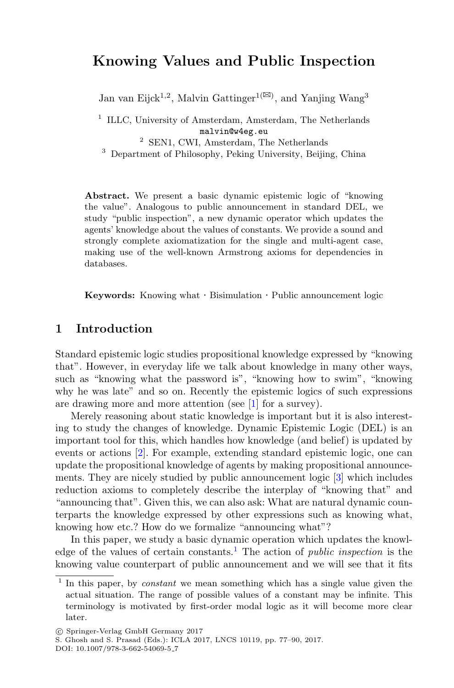# **Knowing Values and Public Inspection**

Jan van Eijck<br/>1,2, Malvin Gattinger $1^{(\boxtimes)}$ , and Yanjing Wang3

 $1$  ILLC, University of Amsterdam, Amsterdam, The Netherlands malvin@w4eg.eu<br><sup>2</sup> SEN1, CWI, Amsterdam, The Netherlands

<sup>3</sup> Department of Philosophy, Peking University, Beijing, China

**Abstract.** We present a basic dynamic epistemic logic of "knowing the value". Analogous to public announcement in standard DEL, we study "public inspection", a new dynamic operator which updates the agents' knowledge about the values of constants. We provide a sound and strongly complete axiomatization for the single and multi-agent case, making use of the well-known Armstrong axioms for dependencies in databases.

**Keywords:** Knowing what · Bisimulation · Public announcement logic

#### **1 Introduction**

Standard epistemic logic studies propositional knowledge expressed by "knowing that". However, in everyday life we talk about knowledge in many other ways, such as "knowing what the password is", "knowing how to swim", "knowing why he was late" and so on. Recently the epistemic logics of such expressions are drawing more and more attention (see [\[1](#page-13-0)] for a survey).

Merely reasoning about static knowledge is important but it is also interesting to study the changes of knowledge. Dynamic Epistemic Logic (DEL) is an important tool for this, which handles how knowledge (and belief) is updated by events or actions [\[2](#page-13-1)]. For example, extending standard epistemic logic, one can update the propositional knowledge of agents by making propositional announcements. They are nicely studied by public announcement logic [\[3](#page-13-2)] which includes reduction axioms to completely describe the interplay of "knowing that" and "announcing that". Given this, we can also ask: What are natural dynamic counterparts the knowledge expressed by other expressions such as knowing what, knowing how etc.? How do we formalize "announcing what"?

In this paper, we study a basic dynamic operation which updates the knowl-edge of the values of certain constants.<sup>[1](#page-0-0)</sup> The action of *public inspection* is the knowing value counterpart of public announcement and we will see that it fits

<span id="page-0-0"></span><sup>&</sup>lt;sup>1</sup> In this paper, by *constant* we mean something which has a single value given the actual situation. The range of possible values of a constant may be infinite. This terminology is motivated by first-order modal logic as it will become more clear later.

<sup>-</sup>c Springer-Verlag GmbH Germany 2017

S. Ghosh and S. Prasad (Eds.): ICLA 2017, LNCS 10119, pp. 77–90, 2017.

DOI: 10.1007/978-3-662-54069-5 7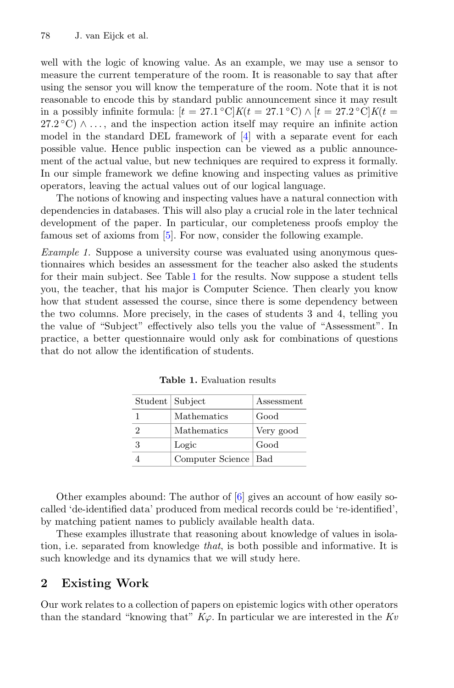well with the logic of knowing value. As an example, we may use a sensor to measure the current temperature of the room. It is reasonable to say that after using the sensor you will know the temperature of the room. Note that it is not reasonable to encode this by standard public announcement since it may result in a possibly infinite formula:  $[t = 27.1 \text{ °C}]K(t = 27.1 \text{ °C}) \wedge [t = 27.2 \text{ °C}]K(t =$  $27.2\degree C$ )  $\land \dots$ , and the inspection action itself may require an infinite action model in the standard DEL framework of [\[4](#page-13-3)] with a separate event for each possible value. Hence public inspection can be viewed as a public announcement of the actual value, but new techniques are required to express it formally. In our simple framework we define knowing and inspecting values as primitive operators, leaving the actual values out of our logical language.

The notions of knowing and inspecting values have a natural connection with dependencies in databases. This will also play a crucial role in the later technical development of the paper. In particular, our completeness proofs employ the famous set of axioms from [\[5](#page-13-4)]. For now, consider the following example.

*Example 1.* Suppose a university course was evaluated using anonymous questionnaires which besides an assessment for the teacher also asked the students for their main subject. See Table [1](#page-1-0) for the results. Now suppose a student tells you, the teacher, that his major is Computer Science. Then clearly you know how that student assessed the course, since there is some dependency between the two columns. More precisely, in the cases of students 3 and 4, telling you the value of "Subject" effectively also tells you the value of "Assessment". In practice, a better questionnaire would only ask for combinations of questions that do not allow the identification of students.

<span id="page-1-0"></span>

| Student   Subject |                        | Assessment |
|-------------------|------------------------|------------|
|                   | Mathematics            | Good       |
| 2                 | Mathematics            | Very good  |
| 3                 | Logic                  | Good       |
|                   | Computer Science   Bad |            |

**Table 1.** Evaluation results

Other examples abound: The author of  $[6]$  $[6]$  gives an account of how easily socalled 'de-identified data' produced from medical records could be 're-identified', by matching patient names to publicly available health data.

These examples illustrate that reasoning about knowledge of values in isolation, i.e. separated from knowledge *that*, is both possible and informative. It is such knowledge and its dynamics that we will study here.

## **2 Existing Work**

Our work relates to a collection of papers on epistemic logics with other operators than the standard "knowing that"  $K\varphi$ . In particular we are interested in the  $Kv$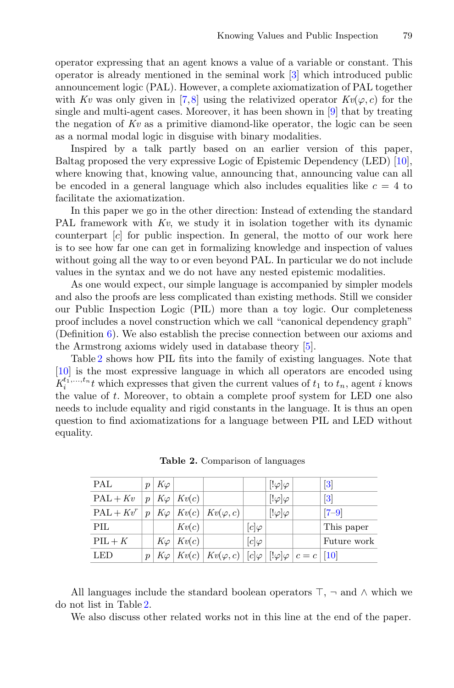operator expressing that an agent knows a value of a variable or constant. This operator is already mentioned in the seminal work [\[3](#page-13-2)] which introduced public announcement logic (PAL). However, a complete axiomatization of PAL together with *Kv* was only given in [\[7](#page-13-6)[,8](#page-13-7)] using the relativized operator  $Kv(\varphi, c)$  for the single and multi-agent cases. Moreover, it has been shown in [\[9\]](#page-13-8) that by treating the negation of *Kv* as a primitive diamond-like operator, the logic can be seen as a normal modal logic in disguise with binary modalities.

Inspired by a talk partly based on an earlier version of this paper, Baltag proposed the very expressive Logic of Epistemic Dependency (LED) [\[10\]](#page-13-9), where knowing that, knowing value, announcing that, announcing value can all be encoded in a general language which also includes equalities like  $c = 4$  to facilitate the axiomatization.

In this paper we go in the other direction: Instead of extending the standard PAL framework with  $Kv$ , we study it in isolation together with its dynamic counterpart [c] for public inspection. In general, the motto of our work here is to see how far one can get in formalizing knowledge and inspection of values without going all the way to or even beyond PAL. In particular we do not include values in the syntax and we do not have any nested epistemic modalities.

As one would expect, our simple language is accompanied by simpler models and also the proofs are less complicated than existing methods. Still we consider our Public Inspection Logic (PIL) more than a toy logic. Our completeness proof includes a novel construction which we call "canonical dependency graph" (Definition [6\)](#page-7-0). We also establish the precise connection between our axioms and the Armstrong axioms widely used in database theory [\[5\]](#page-13-4).

Table [2](#page-2-0) shows how PIL fits into the family of existing languages. Note that [\[10](#page-13-9)] is the most expressive language in which all operators are encoded using  $K_i^{t_1,\ldots,t_n}t$  which expresses that given the current values of  $t_1$  to  $t_n$ , agent i knows the value of t. Moreover, to obtain a complete proof system for LED one also needs to include equality and rigid constants in the language. It is thus an open question to find axiomatizations for a language between PIL and LED without equality.

| PAL            | $\boldsymbol{v}$    | $K\varphi$ |                        |                                                                             |              | $\lbrack \cdot \varphi \rbrack \varphi$ | $\vert 3 \vert$              |
|----------------|---------------------|------------|------------------------|-----------------------------------------------------------------------------|--------------|-----------------------------------------|------------------------------|
| $PAL + Kv$     |                     |            | $p   K\varphi   Kv(c)$ |                                                                             |              | $[!\varphi]\varphi$                     | $\left\lceil 3 \right\rceil$ |
| $PAL + Kv^{r}$ | $p^+$               | $K\varphi$ |                        | $Kv(c)$ $Kv(\varphi, c)$                                                    |              | $[!\varphi]\varphi$                     | $ 7-9 $                      |
| PIL            |                     |            | Kv(c)                  |                                                                             | $ c \varphi$ |                                         | This paper                   |
| $PIL + K$      |                     |            | $K\varphi$ $Kv(c)$     |                                                                             | $[c]\varphi$ |                                         | Future work                  |
| LED            | $\boldsymbol{\eta}$ | $K\varphi$ |                        | $Kv(c)   Kv(\varphi, c)   [c] \varphi   [! \varphi] \varphi   c = c   [10]$ |              |                                         |                              |

<span id="page-2-0"></span>**Table 2.** Comparison of languages

All languages include the standard boolean operators  $\top$ ,  $\neg$  and  $\wedge$  which we do not list in Table [2.](#page-2-0)

We also discuss other related works not in this line at the end of the paper.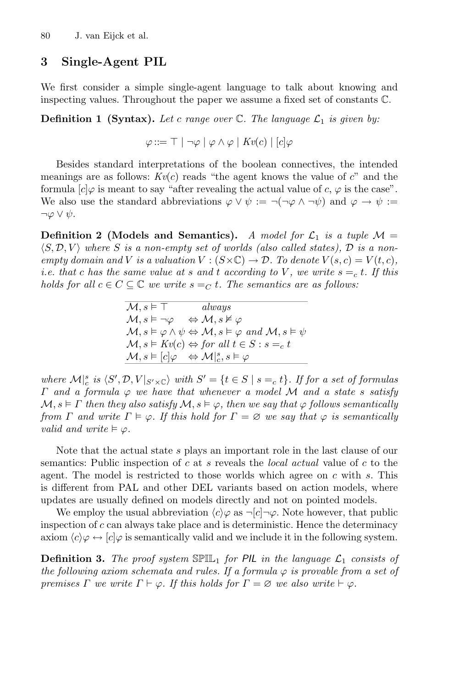### **3 Single-Agent PIL**

We first consider a simple single-agent language to talk about knowing and inspecting values. Throughout the paper we assume a fixed set of constants C.

**Definition 1 (Syntax).** Let c range over  $\mathbb{C}$ . The language  $\mathcal{L}_1$  is given by:

 $\varphi ::= \top | \neg \varphi | \varphi \wedge \varphi | Kv(c) | [c] \varphi$ 

Besides standard interpretations of the boolean connectives, the intended meanings are as follows:  $Kv(c)$  reads "the agent knows the value of c" and the formula  $[c]\varphi$  is meant to say "after revealing the actual value of c,  $\varphi$  is the case". We also use the standard abbreviations  $\varphi \vee \psi := \neg(\neg \varphi \wedge \neg \psi)$  and  $\varphi \rightarrow \psi :=$  $\neg \varphi \vee \psi$ .

**Definition 2 (Models and Semantics).** *A model for*  $\mathcal{L}_1$  *is a tuple*  $\mathcal{M} =$  $\langle S, \mathcal{D}, V \rangle$  where S is a non-empty set of worlds (also called states),  $\mathcal{D}$  is a non*empty domain and V is a valuation*  $V : (S \times \mathbb{C}) \rightarrow \mathcal{D}$ . To denote  $V(s, c) = V(t, c)$ , *i.e. that* c *has the same value at* s and t according to V, we write  $s = c$  t. If this *holds for all*  $c \in C \subseteq \mathbb{C}$  *we write*  $s =_C t$ *. The semantics are as follows:* 

> $M, s \models \top$  *always*  $\mathcal{M}, s \models \neg \varphi \Leftrightarrow \mathcal{M}, s \nvDash \varphi$  $\mathcal{M}, s \models \varphi \land \psi \Leftrightarrow \mathcal{M}, s \models \varphi \text{ and } \mathcal{M}, s \models \psi$  $\mathcal{M}, s \models Kv(c) \Leftrightarrow for all t \in S: s =_c t$  $\mathcal{M}, s \vDash [c] \varphi \Rightarrow \mathcal{M}|_{c}^{s}, s \vDash \varphi$

where  $\mathcal{M}|_{c}^{s}$  is  $\langle S', \mathcal{D}, V|_{S' \times \mathbb{C}}$  *with*  $S' = \{t \in S \mid s =_c t\}$ *. If for a set of formulas* <sup>Γ</sup> *and a formula* <sup>ϕ</sup> *we have that whenever a model* <sup>M</sup> *and a state* <sup>s</sup> *satisfy*  $M, s \models \Gamma$  then they also satisfy  $M, s \models \varphi$ , then we say that  $\varphi$  follows semantically *from*  $\Gamma$  *and write*  $\Gamma \models \varphi$ *. If this hold for*  $\Gamma = \varnothing$  *we say that*  $\varphi$  *is semantically valid and write*  $\models \varphi$ .

Note that the actual state s plays an important role in the last clause of our semantics: Public inspection of c at s reveals the *local actual* value of c to the agent. The model is restricted to those worlds which agree on  $c$  with  $s$ . This is different from PAL and other DEL variants based on action models, where updates are usually defined on models directly and not on pointed models.

We employ the usual abbreviation  $\langle c \rangle \varphi$  as  $\neg [c] \neg \varphi$ . Note however, that public inspection of  $c$  can always take place and is deterministic. Hence the determinacy axiom  $\langle c \rangle \varphi \leftrightarrow [c] \varphi$  is semantically valid and we include it in the following system.

**Definition 3.** The proof system  $\mathbb{SPIL}_1$  for PIL in the language  $\mathcal{L}_1$  consists of *the following axiom schemata and rules. If a formula*  $\varphi$  *is provable from a set of premises*  $\Gamma$  *we write*  $\Gamma \vdash \varphi$ *. If this holds for*  $\Gamma = \varnothing$  *we also write*  $\vdash \varphi$ *.*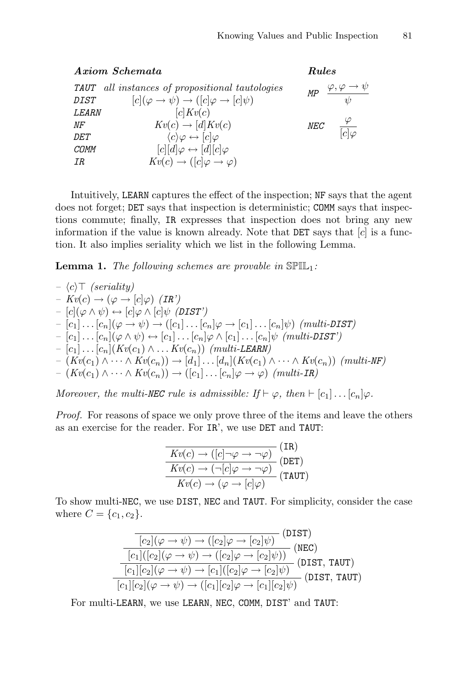|              | Axiom Schemata                                                               | Rules      |                                      |  |
|--------------|------------------------------------------------------------------------------|------------|--------------------------------------|--|
|              | <b>TAUT</b> all instances of propositional tautologies                       | MP         | $\varphi, \varphi \to \psi$          |  |
| <i>DIST</i>  | $[c](\varphi \rightarrow \psi) \rightarrow ([c]\varphi \rightarrow [c]\psi)$ |            | $\psi$                               |  |
| <i>LEARN</i> | c Kv(c)                                                                      |            |                                      |  |
| ΝF           | $Kv(c) \rightarrow [d] Kv(c)$                                                | <b>NEC</b> | $\cdot$ $\frac{\varphi}{[c]\varphi}$ |  |
| <i>DET</i>   | $\langle c \rangle \varphi \leftrightarrow [c] \varphi$                      |            |                                      |  |
| COMM         | $[c][d]\varphi \leftrightarrow [d][c]\varphi$                                |            |                                      |  |
| IR           | $Kv(c) \rightarrow ([c]\varphi \rightarrow \varphi)$                         |            |                                      |  |
|              |                                                                              |            |                                      |  |

Intuitively, LEARN captures the effect of the inspection; NF says that the agent does not forget; DET says that inspection is deterministic; COMM says that inspections commute; finally, IR expresses that inspection does not bring any new information if the value is known already. Note that  $\text{DET}$  says that  $[c]$  is a function. It also implies seriality which we list in the following Lemma.

<span id="page-4-0"></span>**Lemma 1.** *The following schemes are provable in*  $\mathbb{SPIL}_1$ *:* 

$$
- \langle c \rangle \top \ (serality)
$$
\n
$$
- Kv(c) \rightarrow (\varphi \rightarrow [c]\varphi) \ (IR')
$$
\n
$$
- [c](\varphi \land \psi) \leftrightarrow [c]\varphi \land [c]\psi \ (DIST')
$$
\n
$$
- [c_1] \dots [c_n](\varphi \rightarrow \psi) \rightarrow ([c_1] \dots [c_n]\varphi \rightarrow [c_1] \dots [c_n]\psi) \ (multi-DIST)
$$
\n
$$
- [c_1] \dots [c_n](\varphi \land \psi) \leftrightarrow [c_1] \dots [c_n]\varphi \land [c_1] \dots [c_n]\psi \ (multi-DIST')
$$
\n
$$
- [c_1] \dots [c_n](Kv(c_1) \land \dots Kv(c_n)) \ (multi-LEARN)
$$
\n
$$
- (Kv(c_1) \land \dots \land Kv(c_n)) \rightarrow [d_1] \dots [d_n](Kv(c_1) \land \dots \land Kv(c_n)) \ (multi-IR)
$$

*Moreover, the multi-NEC rule is admissible: If*  $\vdash \varphi$ *, then*  $\vdash$  [c<sub>1</sub>]... [c<sub>n</sub>] $\varphi$ *.* 

*Proof.* For reasons of space we only prove three of the items and leave the others as an exercise for the reader. For IR', we use DET and TAUT:

$$
\frac{Kv(c) \to ([c] \to \varphi \to \neg \varphi)}{kv(c) \to (\neg[c] \varphi \to \neg \varphi)} \text{(DET)}\nKv(c) \to (\varphi \to [c] \varphi) \text{(TAUT)}
$$

To show multi-NEC, we use DIST, NEC and TAUT. For simplicity, consider the case where  $C = \{c_1, c_2\}.$ 

$$
\frac{\overline{[c_2] (\varphi \to \psi) \to ([c_2] \varphi \to [c_2] \psi)}}{\overline{[c_1] ([c_2] (\varphi \to \psi) \to ([c_2] \varphi \to [c_2] \psi))}} \text{(NEC)}
$$
\n
$$
\frac{\overline{[c_1] ([c_2] (\varphi \to \psi) \to [c_1] ([c_2] \varphi \to [c_2] \psi))}}{\overline{[c_1] [c_2] (\varphi \to \psi) \to [c_1] ([c_2] \varphi \to [c_1] [c_2] \psi)}} \text{(DIST, TAUT)}
$$
\n
$$
\overline{[c_1] [c_2] (\varphi \to \psi) \to ([c_1] [c_2] \varphi \to [c_1] [c_2] \psi)}
$$

For multi-LEARN, we use LEARN, NEC, COMM, DIST' and TAUT: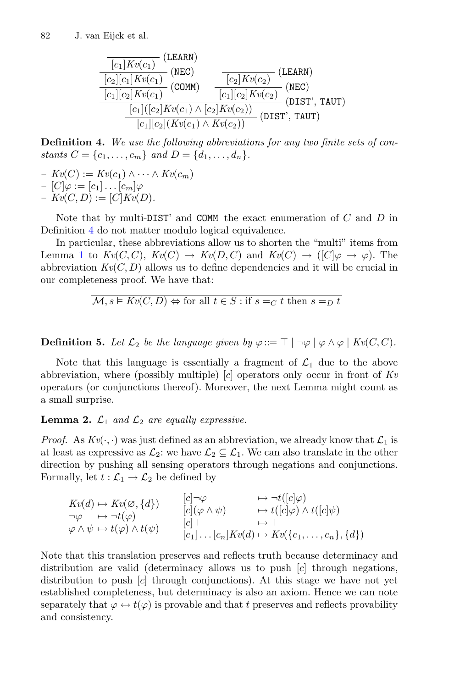$$
\frac{\frac{[c_1]Kv(c_1)]}{[c_2][c_1]Kv(c_1)} \text{ (NEC)}}{\frac{[c_2][c_1]Kv(c_1)}{[c_1][c_2]Kv(c_1)} \text{ (COMM)}} \quad \frac{\frac{[c_2]Kv(c_2)]}{[c_2]Kv(c_2)} \text{ (NEC)}}{\frac{[c_1]([c_2]Kv(c_1) \wedge [c_2]Kv(c_2))}{[c_1]([c_2]Kv(c_1) \wedge Kv(c_2))} \text{ (DIST'}, TAUT)}
$$

<span id="page-5-0"></span>**Definition 4.** *We use the following abbreviations for any two finite sets of constants*  $C = \{c_1, \ldots, c_m\}$  *and*  $D = \{d_1, \ldots, d_n\}.$ 

*–*  $Kv(C) := Kv(c_1) ∧ ··· ∧ Kv(c_m)$ 

$$
- [C]\varphi := [c_1] \dots [c_m]\varphi
$$

 $- Kv(C, D) := [C]Kv(D).$ 

Note that by multi-DIST' and COMM the exact enumeration of  $C$  and  $D$  in Definition [4](#page-5-0) do not matter modulo logical equivalence.

In particular, these abbreviations allow us to shorten the "multi" items from Lemma [1](#page-4-0) to  $Kv(C, C)$ ,  $Kv(C) \rightarrow Kv(D, C)$  and  $Kv(C) \rightarrow ([C]\varphi \rightarrow \varphi)$ . The abbreviation  $Kv(C, D)$  allows us to define dependencies and it will be crucial in our completeness proof. We have that:

$$
\mathcal{M},s\vDash Kv(C,D)\Leftrightarrow \text{for all }t\in S: \text{if }s=_C t \text{ then }s=_D t
$$

**Definition 5.** Let  $\mathcal{L}_2$  be the language given by  $\varphi ::= \top | \neg \varphi | \varphi \wedge \varphi | Kv(C, C)$ .

Note that this language is essentially a fragment of  $\mathcal{L}_1$  due to the above abbreviation, where (possibly multiple) [c] operators only occur in front of *Kv* operators (or conjunctions thereof). Moreover, the next Lemma might count as a small surprise.

<span id="page-5-1"></span>**Lemma 2.**  $\mathcal{L}_1$  *and*  $\mathcal{L}_2$  *are equally expressive.* 

*Proof.* As  $Kv(\cdot, \cdot)$  was just defined as an abbreviation, we already know that  $\mathcal{L}_1$  is at least as expressive as  $\mathcal{L}_2$ : we have  $\mathcal{L}_2 \subseteq \mathcal{L}_1$ . We can also translate in the other direction by pushing all sensing operators through negations and conjunctions. Formally, let  $t : \mathcal{L}_1 \to \mathcal{L}_2$  be defined by

$$
Kv(d) \mapsto Kv(\varnothing, \{d\})
$$
  
\n
$$
\neg \varphi \mapsto \neg t(\varphi)
$$
  
\n
$$
\varphi \wedge \psi \mapsto t(\varphi) \wedge t(\psi)
$$
  
\n
$$
\begin{array}{ccc}\n\vdots & \vdots & \vdots & \vdots \\
\varphi \wedge \psi \mapsto t(\varphi) \wedge t(\psi) & \downarrow \\
\vdots & \vdots & \ddots & \vdots \\
\vdots & \vdots & \vdots & \vdots \\
\vdots & \vdots & \vdots & \vdots \\
\vdots & \vdots & \vdots & \vdots \\
\vdots & \vdots & \vdots & \vdots \\
\vdots & \vdots & \vdots & \vdots \\
\vdots & \vdots & \vdots & \vdots \\
\vdots & \vdots & \vdots & \vdots \\
\vdots & \vdots & \vdots & \vdots \\
\vdots & \vdots & \vdots & \vdots \\
\vdots & \vdots & \vdots & \vdots \\
\vdots & \vdots & \vdots & \vdots \\
\vdots & \vdots & \vdots & \vdots \\
\vdots & \vdots & \vdots & \vdots \\
\vdots & \vdots & \vdots & \vdots \\
\vdots & \vdots & \vdots & \vdots \\
\vdots & \vdots & \vdots & \vdots \\
\vdots & \vdots & \vdots & \vdots \\
\vdots & \vdots & \vdots & \vdots \\
\vdots & \vdots & \vdots & \vdots \\
\vdots & \vdots & \vdots & \vdots \\
\vdots & \vdots & \vdots & \vdots \\
\vdots & \vdots & \vdots & \vdots \\
\vdots & \vdots & \vdots & \vdots \\
\vdots & \vdots & \vdots & \vdots \\
\vdots & \vdots & \vdots & \vdots \\
\vdots & \vdots & \vdots & \vdots \\
\vdots & \vdots & \vdots & \vdots \\
\vdots & \vdots & \vdots & \vdots \\
\vdots & \vdots & \vdots & \vdots \\
\vdots & \vdots & \vdots & \vdots \\
\vdots & \vdots & \vdots & \vdots \\
\vdots & \vdots & \vdots & \vdots \\
\vdots & \vdots & \vdots & \vdots \\
\vdots & \vdots & \vdots & \vdots \\
\vdots & \vdots & \vdots & \vdots \\
\vdots & \vdots & \vdots & \vdots \\
\vdots & \vdots & \vdots & \vdots \\
\vdots & \vdots & \vdots & \
$$

Note that this translation preserves and reflects truth because determinacy and distribution are valid (determinacy allows us to push [c] through negations, distribution to push  $[c]$  through conjunctions). At this stage we have not yet established completeness, but determinacy is also an axiom. Hence we can note separately that  $\varphi \leftrightarrow t(\varphi)$  is provable and that t preserves and reflects provability and consistency.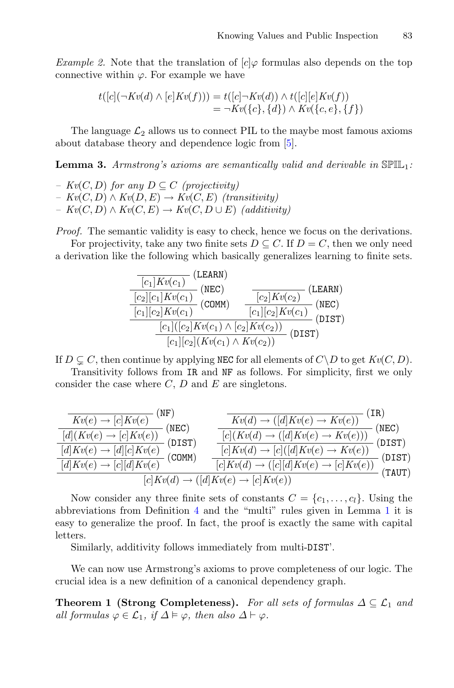*Example 2.* Note that the translation of  $[c] \varphi$  formulas also depends on the top connective within  $\varphi$ . For example we have

$$
t([c](\neg Kv(d) \land [e] Kv(f))) = t([c] \neg Kv(d)) \land t([c][e] Kv(f))
$$
  
=  $\neg Kv({c}, {d}) \land Kv({c}, e, {f})$ 

<span id="page-6-0"></span>The language  $\mathcal{L}_2$  allows us to connect PIL to the maybe most famous axioms about database theory and dependence logic from [\[5](#page-13-4)].

**Lemma 3.** *Armstrong's axioms are semantically valid and derivable in* SPIL1*:*

*– Kv*(*C*, *D*) *for any*  $D \subseteq C$  (*projectivity*)  $-$  *Kv*(*C*, *D*)  $\land$  *Kv*(*D*, *E*)  $\rightarrow$  *Kv*(*C*, *E*) (*transitivity*)  $- Kv(C, D) \wedge Kv(C, E) \rightarrow Kv(C, D \cup E)$  *(additivity)* 

*Proof.* The semantic validity is easy to check, hence we focus on the derivations.

For projectivity, take any two finite sets  $D \subseteq C$ . If  $D = C$ , then we only need a derivation like the following which basically generalizes learning to finite sets.



If  $D \subseteq C$ , then continue by applying NEC for all elements of  $C \backslash D$  to get  $Kv(C, D)$ .

Transitivity follows from IR and NF as follows. For simplicity, first we only consider the case where  $C, D$  and  $E$  are singletons.

| NF)                                                                 | [IR]                                                                   |  |  |  |
|---------------------------------------------------------------------|------------------------------------------------------------------------|--|--|--|
| $Kv(e) \rightarrow [c] Kv(e)$                                       | $Kv(d) \rightarrow ([d] Kv(e) \rightarrow Kv(e))$                      |  |  |  |
| (NEC)                                                               | (NEC)                                                                  |  |  |  |
| $[d (Kv(e) \rightarrow [c]Kv(e))$                                   | $[c](Kv(d) \rightarrow ([d]Kv(e) \rightarrow Kv(e)))$                  |  |  |  |
| (DIST)                                                              | (DIST)                                                                 |  |  |  |
| $\left[d\right]Kv(e) \rightarrow \left[d\right]\left[c\right]Kv(e)$ | $[c]Kv(d) \rightarrow [c]([d]Kv(e) \rightarrow Kv(e))$                 |  |  |  |
| (CDMM)                                                              | (DIST)                                                                 |  |  |  |
| $\left[d\right]Kv(e) \rightarrow \left[c\right]\left[d\right]Kv(e)$ | $[c] Kv(d) \rightarrow ([c][d] Kv(e) \rightarrow [c] Kv(e)]$<br>(TAUT) |  |  |  |
| $[c]Kv(d) \rightarrow ([d]Kv(e) \rightarrow [c]Kv(e))$              |                                                                        |  |  |  |

Now consider any three finite sets of constants  $C = \{c_1, \ldots, c_l\}$ . Using the abbreviations from Definition [4](#page-5-0) and the "multi" rules given in Lemma [1](#page-4-0) it is easy to generalize the proof. In fact, the proof is exactly the same with capital letters.

Similarly, additivity follows immediately from multi-DIST'.

<span id="page-6-1"></span>We can now use Armstrong's axioms to prove completeness of our logic. The crucial idea is a new definition of a canonical dependency graph.

**Theorem 1 (Strong Completeness).** For all sets of formulas  $\Delta \subseteq \mathcal{L}_1$  and *all formulas*  $\varphi \in \mathcal{L}_1$ , if  $\Delta \models \varphi$ , then also  $\Delta \vdash \varphi$ .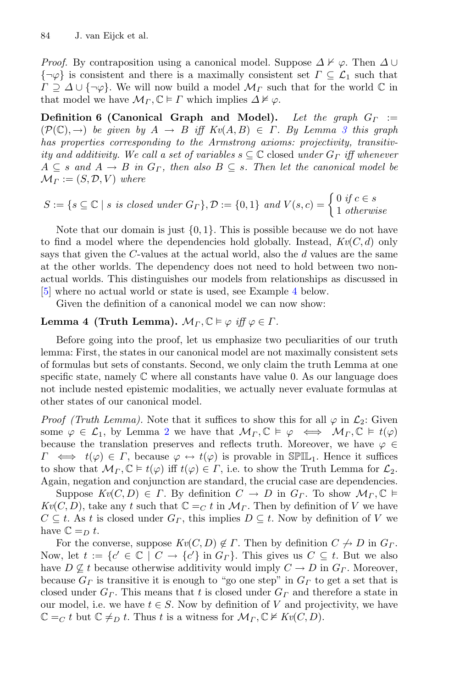*Proof.* By contraposition using a canonical model. Suppose  $\Delta \not\vdash \varphi$ . Then  $\Delta \cup$  ${\neg \varphi}$  is consistent and there is a maximally consistent set  $\Gamma \subseteq \mathcal{L}_1$  such that  $\Gamma \supseteq \Delta \cup \{\neg \varphi\}.$  We will now build a model  $\mathcal{M}_{\Gamma}$  such that for the world  $\mathbb C$  in that model we have  $\mathcal{M}_{\Gamma}, \mathbb{C} \models \Gamma$  which implies  $\Delta \not\models \varphi$ .

<span id="page-7-0"></span>**Definition 6 (Canonical Graph and Model).** *Let the graph*  $G_{\Gamma}$  :=  $(\mathcal{P}(\mathbb{C}), \rightarrow)$  *be given by*  $A \rightarrow B$  *iff*  $Kv(A, B) \in \Gamma$ . By Lemma [3](#page-6-0) this graph *has properties corresponding to the Armstrong axioms: projectivity, transitivity and additivity. We call a set of variables*  $s \subseteq \mathbb{C}$  closed *under*  $G_{\Gamma}$  *iff whenever*  $A \subseteq s$  and  $A \to B$  in  $G_F$ , then also  $B \subseteq s$ . Then let the canonical model be  $\mathcal{M}_{\Gamma} := (S, \mathcal{D}, V)$  where

$$
S := \{ s \subseteq \mathbb{C} \mid s \text{ is closed under } G_{\Gamma} \}, \mathcal{D} := \{0, 1\} \text{ and } V(s, c) = \begin{cases} 0 \text{ if } c \in s \\ 1 \text{ otherwise} \end{cases}
$$

Note that our domain is just  $\{0, 1\}$ . This is possible because we do not have to find a model where the dependencies hold globally. Instead,  $Kv(C, d)$  only says that given the  $C$ -values at the actual world, also the  $d$  values are the same at the other worlds. The dependency does not need to hold between two nonactual worlds. This distinguishes our models from relationships as discussed in [\[5](#page-13-4)] where no actual world or state is used, see Example [4](#page-8-0) below.

Given the definition of a canonical model we can now show:

# **Lemma 4 (Truth Lemma).**  $\mathcal{M}_{\Gamma}, \mathbb{C} \models \varphi \text{ iff } \varphi \in \Gamma.$

Before going into the proof, let us emphasize two peculiarities of our truth lemma: First, the states in our canonical model are not maximally consistent sets of formulas but sets of constants. Second, we only claim the truth Lemma at one specific state, namely  $\mathbb C$  where all constants have value 0. As our language does not include nested epistemic modalities, we actually never evaluate formulas at other states of our canonical model.

*Proof (Truth Lemma).* Note that it suffices to show this for all  $\varphi$  in  $\mathcal{L}_2$ : Given some  $\varphi \in \mathcal{L}_1$ , by Lemma [2](#page-5-1) we have that  $\mathcal{M}_{\Gamma}, \mathbb{C} \models \varphi \iff \mathcal{M}_{\Gamma}, \mathbb{C} \models t(\varphi)$ because the translation preserves and reflects truth. Moreover, we have  $\varphi \in$  $\Gamma \iff t(\varphi) \in \Gamma$ , because  $\varphi \leftrightarrow t(\varphi)$  is provable in SPIL<sub>1</sub>. Hence it suffices to show that  $\mathcal{M}_{\Gamma}, \mathbb{C} \models t(\varphi)$  iff  $t(\varphi) \in \Gamma$ , i.e. to show the Truth Lemma for  $\mathcal{L}_2$ . Again, negation and conjunction are standard, the crucial case are dependencies.

Suppose  $Kv(C, D) \in \Gamma$ . By definition  $C \to D$  in  $G_{\Gamma}$ . To show  $\mathcal{M}_{\Gamma}, \mathbb{C} \models$  $Kv(C, D)$ , take any t such that  $\mathbb{C} =_C t$  in  $\mathcal{M}_{\Gamma}$ . Then by definition of V we have  $C \subseteq t$ . As t is closed under  $G_{\Gamma}$ , this implies  $D \subseteq t$ . Now by definition of V we have  $\mathbb{C} =_D t$ .

For the converse, suppose  $Kv(C, D) \notin \Gamma$ . Then by definition  $C \nrightarrow D$  in  $G_{\Gamma}$ . Now, let  $t := \{c' \in \mathbb{C} \mid C \to \{c'\} \text{ in } G_\Gamma\}$ . This gives us  $C \subseteq t$ . But we also have  $D \nsubseteq t$  because otherwise additivity would imply  $C \to D$  in  $G_r$ . Moreover, because  $G_F$  is transitive it is enough to "go one step" in  $G_F$  to get a set that is closed under  $G_r$ . This means that t is closed under  $G_r$  and therefore a state in our model, i.e. we have  $t \in S$ . Now by definition of V and projectivity, we have  $\mathbb{C} =_C t$  but  $\mathbb{C} \neq_D t$ . Thus t is a witness for  $\mathcal{M}_{\Gamma}, \mathbb{C} \not\vDash Kv(C, D)$ .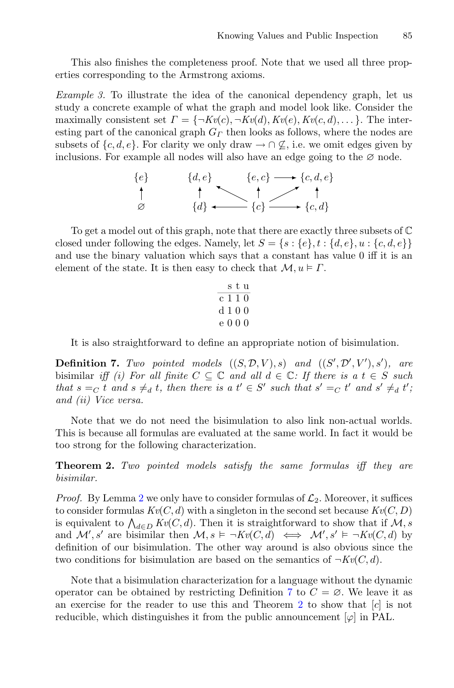<span id="page-8-3"></span>This also finishes the completeness proof. Note that we used all three properties corresponding to the Armstrong axioms.

*Example 3.* To illustrate the idea of the canonical dependency graph, let us study a concrete example of what the graph and model look like. Consider the maximally consistent set  $\Gamma = \{\neg Kv(c), \neg Kv(d), Kv(e), Kv(c, d), \dots\}$ . The interesting part of the canonical graph  $G<sub>Γ</sub>$  then looks as follows, where the nodes are subsets of  $\{c, d, e\}$ . For clarity we only draw  $\rightarrow \cap \mathcal{L}$ , i.e. we omit edges given by inclusions. For example all nodes will also have an edge going to the  $\varnothing$  node.



To get a model out of this graph, note that there are exactly three subsets of C closed under following the edges. Namely, let  $S = \{s : \{e\}, t : \{d, e\}, u : \{c, d, e\}\}\$ and use the binary valuation which says that a constant has value 0 iff it is an element of the state. It is then easy to check that  $\mathcal{M}, u \models \Gamma$ .

$$
\begin{array}{c}\n 8 \text{ t u} \\
 \hline\n c 1 1 0 \\
 d 1 0 0 \\
 e 0 0 0\n \end{array}
$$

It is also straightforward to define an appropriate notion of bisimulation.

<span id="page-8-1"></span>**Definition 7.** *Two pointed models*  $((S, \mathcal{D}, V), s)$  *and*  $((S', \mathcal{D}', V'), s')$ , *are* bisimilar *iff (i)* For all finite  $C \subseteq \mathbb{C}$  and all  $d \in \mathbb{C}$ : If there is a  $t \in S$  such *that*  $s =_C t$  *and*  $s \neq_d t$ *, then there is a*  $t' \in S'$  *such that*  $s' =_C t'$  *and*  $s' \neq_d t'$ *; and (ii) Vice versa.*

Note that we do not need the bisimulation to also link non-actual worlds. This is because all formulas are evaluated at the same world. In fact it would be too strong for the following characterization.

<span id="page-8-2"></span>**Theorem 2.** *Two pointed models satisfy the same formulas iff they are bisimilar.*

*Proof.* By Lemma [2](#page-5-1) we only have to consider formulas of  $\mathcal{L}_2$ . Moreover, it suffices to consider formulas  $Kv(C, d)$  with a singleton in the second set because  $Kv(C, D)$ is equivalent to  $\bigwedge_{d \in D} Kv(C, d)$ . Then it is straightforward to show that if  $\mathcal{M}, s$ and  $\mathcal{M}'$ , s' are bisimilar then  $\mathcal{M}, s \models \neg Kv(C, d) \iff \mathcal{M}', s' \models \neg Kv(C, d)$  by definition of our bisimulation. The other way around is also obvious since the two conditions for bisimulation are based on the semantics of  $\neg Kv(C, d)$ .

<span id="page-8-0"></span>Note that a bisimulation characterization for a language without the dynamic operator can be obtained by restricting Definition [7](#page-8-1) to  $C = \emptyset$ . We leave it as an exercise for the reader to use this and Theorem [2](#page-8-2) to show that  $[c]$  is not reducible, which distinguishes it from the public announcement  $[\varphi]$  in PAL.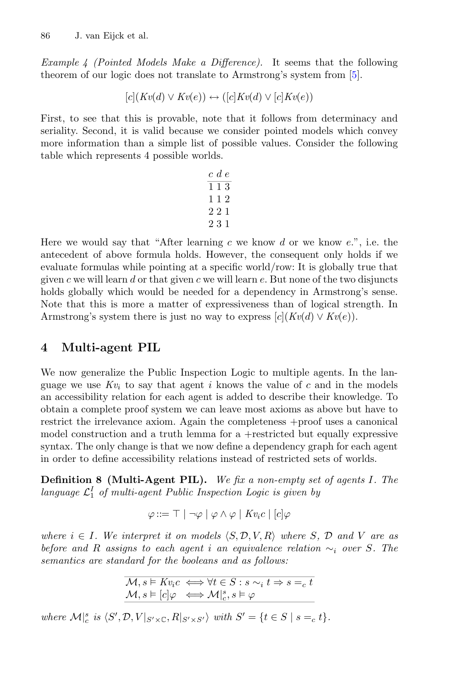*Example 4 (Pointed Models Make a Difference).* It seems that the following theorem of our logic does not translate to Armstrong's system from [\[5\]](#page-13-4).

$$
[c](Kv(d) \vee Kv(e)) \leftrightarrow ([c]Kv(d) \vee [c]Kv(e))
$$

First, to see that this is provable, note that it follows from determinacy and seriality. Second, it is valid because we consider pointed models which convey more information than a simple list of possible values. Consider the following table which represents 4 possible worlds.

Here we would say that "After learning c we know d or we know  $e$ .", i.e. the antecedent of above formula holds. However, the consequent only holds if we evaluate formulas while pointing at a specific world/row: It is globally true that given c we will learn d or that given c we will learn  $e$ . But none of the two disjuncts holds globally which would be needed for a dependency in Armstrong's sense. Note that this is more a matter of expressiveness than of logical strength. In Armstrong's system there is just no way to express  $[c](Kv(d) \vee Kv(e)).$ 

## **4 Multi-agent PIL**

We now generalize the Public Inspection Logic to multiple agents. In the language we use  $Kv_i$  to say that agent i knows the value of c and in the models an accessibility relation for each agent is added to describe their knowledge. To obtain a complete proof system we can leave most axioms as above but have to restrict the irrelevance axiom. Again the completeness +proof uses a canonical model construction and a truth lemma for a +restricted but equally expressive syntax. The only change is that we now define a dependency graph for each agent in order to define accessibility relations instead of restricted sets of worlds.

**Definition 8 (Multi-Agent PIL).** *We fix a non-empty set of agents* I*. The* language  $\mathcal{L}_1^I$  of multi-agent Public Inspection Logic is given by

$$
\varphi ::= \top \mid \neg \varphi \mid \varphi \wedge \varphi \mid K v_i c \mid [c] \varphi
$$

*where*  $i \in I$ *. We interpret it on models*  $\langle S, \mathcal{D}, V, R \rangle$  *where* S,  $\mathcal{D}$  *and* V *are as before and* <sup>R</sup> *assigns to each agent* <sup>i</sup> *an equivalence relation* <sup>∼</sup><sup>i</sup> *over* <sup>S</sup>*. The semantics are standard for the booleans and as follows:*

$$
\mathcal{M},s \vDash Kv_{i}c \iff \forall t \in S: s \sim_{i} t \Rightarrow s =_{c} t
$$
\n
$$
\mathcal{M},s \vDash [c] \varphi \iff \mathcal{M}|_{c}^{s},s \vDash \varphi
$$

 $where \mathcal{M}|_{c}^{s} is \langle S', \mathcal{D}, V|_{S' \times \mathbb{C}}, R|_{S' \times S'}\rangle \ with \ S' = \{t \in S \mid s =_{c} t\}.$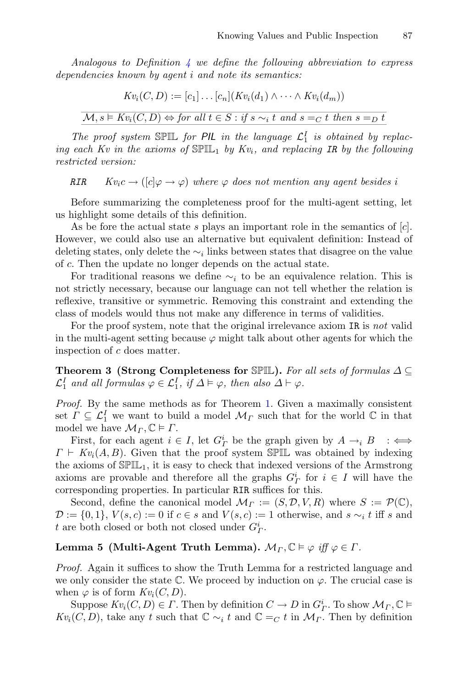*Analogous to Definition [4](#page-5-0) we define the following abbreviation to express dependencies known by agent* i *and note its semantics:*

$$
Kv_i(C, D) := [c_1] \dots [c_n] (Kv_i(d_1) \wedge \dots \wedge Kv_i(d_m))
$$
  

$$
M, s \vDash Kv_i(C, D) \Leftrightarrow for \ all \ t \in S : if \ s \sim_i t \ and \ s =_C t \ then \ s =_D t
$$

*The proof system* SPIL *for PIL in the language*  $\mathcal{L}_1^I$  *is obtained by replacing each Kv in the axioms of*  $\mathbb{SPL}_1$  *by Kv<sub>i</sub>, and replacing IR by the following restricted version:*

*RIR*  $Kv_i c \rightarrow ( [c] \varphi \rightarrow \varphi )$  *where*  $\varphi$  *does not mention any agent besides i* 

Before summarizing the completeness proof for the multi-agent setting, let us highlight some details of this definition.

As be fore the actual state s plays an important role in the semantics of  $[c]$ . However, we could also use an alternative but equivalent definition: Instead of deleting states, only delete the  $\sim_i$  links between states that disagree on the value of c. Then the update no longer depends on the actual state.

For traditional reasons we define  $\sim_i$  to be an equivalence relation. This is not strictly necessary, because our language can not tell whether the relation is reflexive, transitive or symmetric. Removing this constraint and extending the class of models would thus not make any difference in terms of validities.

For the proof system, note that the original irrelevance axiom IR is *not* valid in the multi-agent setting because  $\varphi$  might talk about other agents for which the inspection of c does matter.

**Theorem 3 (Strong Completeness for** SPIL**).** *For all sets of formulas* <sup>Δ</sup> <sup>⊆</sup>  $\mathcal{L}_1^I$  and all formulas  $\varphi \in \mathcal{L}_1^I$ , if  $\Delta \models \varphi$ , then also  $\Delta \vdash \varphi$ .

*Proof.* By the same methods as for Theorem [1.](#page-6-1) Given a maximally consistent set  $\Gamma \subseteq \mathcal{L}_1^I$  we want to build a model  $\mathcal{M}_{\Gamma}$  such that for the world  $\mathbb C$  in that model we have  $\mathcal{M}_{\Gamma}, \mathbb{C} \models \Gamma$ .

First, for each agent  $i \in I$ , let  $G^i_{\Gamma}$  be the graph given by  $A \to i B$  :  $\iff$  $\Gamma \vdash Kv_i(A, B)$ . Given that the proof system SPIL was obtained by indexing the axioms of  $\mathbb{SPIL}_1$ , it is easy to check that indexed versions of the Armstrong axioms are provable and therefore all the graphs  $G^i_\Gamma$  for  $i \in I$  will have the corresponding properties. In particular RIR suffices for this.

Second, define the canonical model  $\mathcal{M}_{\Gamma} := (S, \mathcal{D}, V, R)$  where  $S := \mathcal{P}(\mathbb{C}),$  $\mathcal{D} := \{0,1\}, V(s,c) := 0$  if  $c \in s$  and  $V(s,c) := 1$  otherwise, and  $s \sim_i t$  iff s and t are both closed or both not closed under  $G^i_T$ .

# **Lemma 5** (Multi-Agent Truth Lemma).  $\mathcal{M}_{\Gamma}, \mathbb{C} \models \varphi \text{ iff } \varphi \in \Gamma.$

*Proof.* Again it suffices to show the Truth Lemma for a restricted language and we only consider the state  $\mathbb C$ . We proceed by induction on  $\varphi$ . The crucial case is when  $\varphi$  is of form  $Kv_i(C, D)$ .

Suppose  $Kv_i(C, D) \in \Gamma$ . Then by definition  $C \to D$  in  $G^i_{\Gamma}$ . To show  $\mathcal{M}_{\Gamma}, \mathbb{C} \vDash$  $Kv_i(C, D)$ , take any t such that  $\mathbb{C} \sim_i t$  and  $\mathbb{C} =_C t$  in  $\mathcal{M}_{\Gamma}$ . Then by definition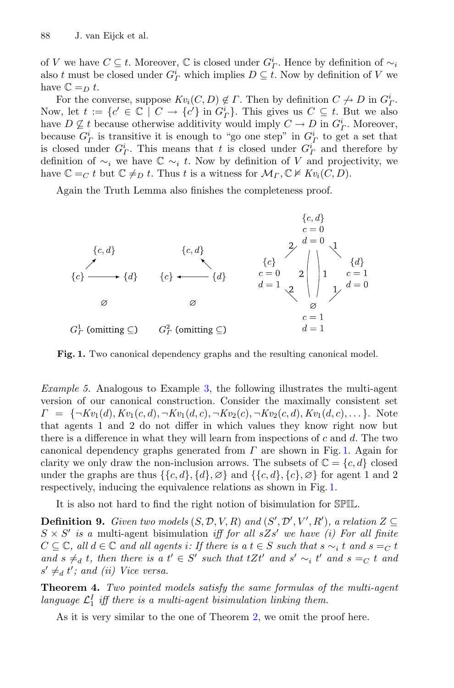of V we have  $C \subseteq t$ . Moreover,  $\mathbb C$  is closed under  $G^i$ . Hence by definition of  $\sim_i$ also t must be closed under  $G^i_{\Gamma}$  which implies  $D \subseteq \overline{t}$ . Now by definition of V we have  $\mathbb{C} =_{D} t$ .

For the converse, suppose  $Kv_i(C, D) \notin \Gamma$ . Then by definition  $C \nrightarrow D$  in  $G^i_{\Gamma}$ . Now, let  $t := \{c' \in \mathbb{C} \mid C \to \{c'\} \text{ in } G^i_T\}$ . This gives us  $C \subseteq t$ . But we also have  $D \nsubseteq t$  because otherwise additivity would imply  $C \to D$  in  $G^i_T$ . Moreover, because  $G_T^i$  is transitive it is enough to "go one step" in  $G_T^i$  to get a set that is closed under  $G_{\Gamma}^{i}$ . This means that t is closed under  $G_{\Gamma}^{i}$  and therefore by definition of  $\sim_i$  we have  $\mathbb{C} \sim_i t$ . Now by definition of V and projectivity, we have  $\mathbb{C} =_C t$  but  $\mathbb{C} \neq_D t$ . Thus t is a witness for  $\mathcal{M}_{\Gamma}, \mathbb{C} \nvDash Kv_i(C, D)$ .

Again the Truth Lemma also finishes the completeness proof.



<span id="page-11-0"></span>**Fig. 1.** Two canonical dependency graphs and the resulting canonical model.

*Example 5.* Analogous to Example [3,](#page-8-3) the following illustrates the multi-agent version of our canonical construction. Consider the maximally consistent set  $\Gamma = \{\neg Kv_1(d), Kv_1(c, d), \neg Kv_1(d, c), \neg Kv_2(c), \neg Kv_2(c, d), Kv_1(d, c), \ldots\}.$  Note that agents 1 and 2 do not differ in which values they know right now but there is a difference in what they will learn from inspections of  $c$  and  $d$ . The two canonical dependency graphs generated from  $\Gamma$  are shown in Fig. [1.](#page-11-0) Again for clarity we only draw the non-inclusion arrows. The subsets of  $\mathbb{C} = \{c, d\}$  closed under the graphs are thus  $\{\{c,d\},\{d\},\emptyset\}$  and  $\{\{c,d\},\{c\},\emptyset\}$  for agent 1 and 2 respectively, inducing the equivalence relations as shown in Fig. [1.](#page-11-0)

It is also not hard to find the right notion of bisimulation for SPIL.

**Definition 9.** *Given two models*  $(S, \mathcal{D}, V, R)$  *and*  $(S', \mathcal{D}', V', R')$ , *a relation*  $Z \subseteq$  $S \times S'$  *is a* multi-agent bisimulation *iff for all*  $sZs'$  *we have (i) For all finite*  $C \subseteq \mathbb{C}$ , all  $d \in \mathbb{C}$  and all agents i: If there is a  $t \in S$  such that  $s \sim_i t$  and  $s =_C t$ and  $s \neq_d t$ , then there is a  $t' \in S'$  such that  $tZt'$  and  $s' \sim_i t'$  and  $s =_C t$  and  $s' \neq_d t'$ ; and (ii) Vice versa.

**Theorem 4.** *Two pointed models satisfy the same formulas of the multi-agent* language  $\mathcal{L}_1^I$  iff there is a multi-agent bisimulation linking them.

As it is very similar to the one of Theorem [2,](#page-8-2) we omit the proof here.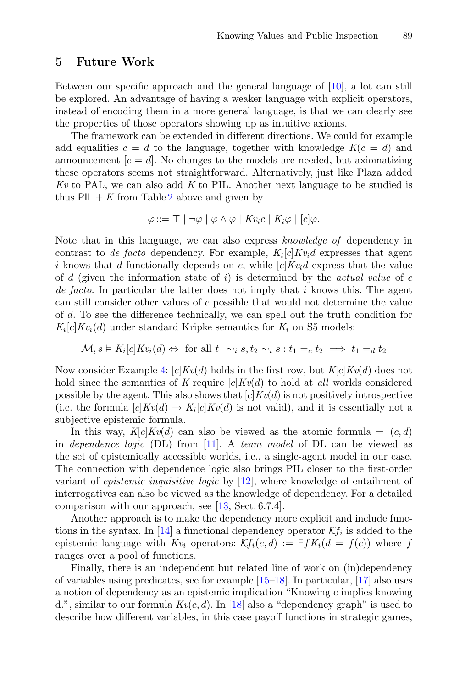#### **5 Future Work**

Between our specific approach and the general language of [\[10](#page-13-9)], a lot can still be explored. An advantage of having a weaker language with explicit operators, instead of encoding them in a more general language, is that we can clearly see the properties of those operators showing up as intuitive axioms.

The framework can be extended in different directions. We could for example add equalities  $c = d$  to the language, together with knowledge  $K(c = d)$  and announcement  $[c = d]$ . No changes to the models are needed, but axiomatizing these operators seems not straightforward. Alternatively, just like Plaza added *Kv* to PAL, we can also add *K* to PIL. Another next language to be studied is thus  $PIL + K$  from Table [2](#page-2-0) above and given by

$$
\varphi ::= \top | \neg \varphi | \varphi \wedge \varphi | K v_i c | K_i \varphi | [c] \varphi.
$$

Note that in this language, we can also express *knowledge of* dependency in contrast to *de facto* dependency. For example,  $K_i[c]Kv_id$  expresses that agent i knows that d functionally depends on c, while  $[c]Kv_i d$  express that the value of d (given the information state of i) is determined by the *actual value* of c *de facto*. In particular the latter does not imply that i knows this. The agent can still consider other values of c possible that would not determine the value of d. To see the difference technically, we can spell out the truth condition for  $K_i[c]$ *Kv*<sub>i</sub>(*d*) under standard Kripke semantics for  $K_i$  on S5 models:

$$
\mathcal{M}, s \vDash K_i[c] K v_i(d) \Leftrightarrow \text{ for all } t_1 \sim_i s, t_2 \sim_i s : t_1 =_c t_2 \implies t_1 =_d t_2
$$

Now consider Example [4:](#page-8-0) [c]*Kv*(d) holds in the first row, but *K*[c]*Kv*(d) does not hold since the semantics of *K* require  $[c]Kv(d)$  to hold at *all* worlds considered possible by the agent. This also shows that  $[c]$ *Kv(d)* is not positively introspective (i.e. the formula  $[c]Kv(d) \rightarrow K_i[c]Kv(d)$  is not valid), and it is essentially not a subjective epistemic formula.

In this way,  $K[c]Kv(d)$  can also be viewed as the atomic formula  $=(c,d)$ in *dependence logic* (DL) from [\[11\]](#page-13-10). A *team model* of DL can be viewed as the set of epistemically accessible worlds, i.e., a single-agent model in our case. The connection with dependence logic also brings PIL closer to the first-order variant of *epistemic inquisitive logic* by [\[12\]](#page-13-11), where knowledge of entailment of interrogatives can also be viewed as the knowledge of dependency. For a detailed comparison with our approach, see [\[13](#page-13-12), Sect. 6.7.4].

Another approach is to make the dependency more explicit and include func-tions in the syntax. In [\[14\]](#page-13-13) a functional dependency operator  $\mathcal{K}f_i$  is added to the epistemic language with  $Kv_i$  operators:  $\mathcal{K}f_i(c,d) := \exists f K_i(d = f(c))$  where f ranges over a pool of functions.

Finally, there is an independent but related line of work on (in)dependency of variables using predicates, see for example  $[15-18]$  $[15-18]$ . In particular,  $[17]$  also uses a notion of dependency as an epistemic implication "Knowing c implies knowing d.", similar to our formula  $Kv(c, d)$ . In [\[18](#page-13-15)] also a "dependency graph" is used to describe how different variables, in this case payoff functions in strategic games,